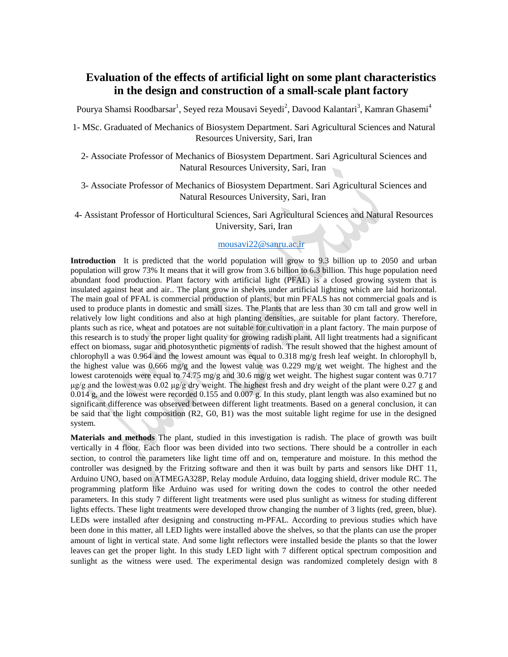# **Evaluation of the effects of artificial light on some plant characteristics in the design and construction of a small-scale plant factory**

Pourya Shamsi Roodbarsar<sup>1</sup>, Seyed reza Mousavi Seyedi<sup>2</sup>, Davood Kalantari<sup>3</sup>, Kamran Ghasemi<sup>4</sup>

1- MSc. Graduated of Mechanics of Biosystem Department. Sari Agricultural Sciences and Natural Resources University, Sari, Iran

- 2- Associate Professor of Mechanics of Biosystem Department. Sari Agricultural Sciences and Natural Resources University, Sari, Iran
- 3- Associate Professor of Mechanics of Biosystem Department. Sari Agricultural Sciences and Natural Resources University, Sari, Iran

4- Assistant Professor of Horticultural Sciences, Sari Agricultural Sciences and Natural Resources University, Sari, Iran

### [mousavi22@sanru.ac.ir](mailto:mousavi22@sanru.ac.ir)

**Introduction** It is predicted that the world population will grow to 9.3 billion up to 2050 and urban population will grow 73% It means that it will grow from 3.6 billion to 6.3 billion. This huge population need abundant food production. Plant factory with artificial light (PFAL) is a closed growing system that is insulated against heat and air.. The plant grow in shelves under artificial lighting which are laid horizontal. The main goal of PFAL is commercial production of plants, but min PFALS has not commercial goals and is used to produce plants in domestic and small sizes. The Plants that are less than 30 cm tall and grow well in relatively low light conditions and also at high planting densities, are suitable for plant factory. Therefore, plants such as rice, wheat and potatoes are not suitable for cultivation in a plant factory. The main purpose of this research is to study the proper light quality for growing radish plant. All light treatments had a significant effect on biomass, sugar and photosynthetic pigments of radish. The result showed that the highest amount of chlorophyll a was 0.964 and the lowest amount was equal to 0.318 mg/g fresh leaf weight. In chlorophyll b, the highest value was  $0.666$  mg/g and the lowest value was  $0.229$  mg/g wet weight. The highest and the lowest carotenoids were equal to 74.75 mg/g and 30.6 mg/g wet weight. The highest sugar content was 0.717  $\mu$ g/g and the lowest was 0.02  $\mu$ g/g dry weight. The highest fresh and dry weight of the plant were 0.27 g and 0.014 g, and the lowest were recorded 0.155 and 0.007 g. In this study, plant length was also examined but no significant difference was observed between different light treatments. Based on a general conclusion, it can be said that the light composition (R2, G0, B1) was the most suitable light regime for use in the designed system.

**Materials and methods** The plant, studied in this investigation is radish. The place of growth was built vertically in 4 floor. Each floor was been divided into two sections. There should be a controller in each section, to control the parameters like light time off and on, temperature and moisture. In this method the controller was designed by the Fritzing software and then it was built by parts and sensors like DHT 11, Arduino UNO, based on ATMEGA328P, Relay module Arduino, data logging shield, driver module RC. The programming platform like Arduino was used for writing down the codes to control the other needed parameters. In this study 7 different light treatments were used plus sunlight as witness for studing different lights effects. These light treatments were developed throw changing the number of 3 lights (red, green, blue). LEDs were installed after designing and constructing m-PFAL. According to previous studies which have been done in this matter, all LED lights were installed above the shelves, so that the plants can use the proper amount of light in vertical state. And some light reflectors were installed beside the plants so that the lower leaves can get the proper light. In this study LED light with 7 different optical spectrum composition and sunlight as the witness were used. The experimental design was randomized completely design with 8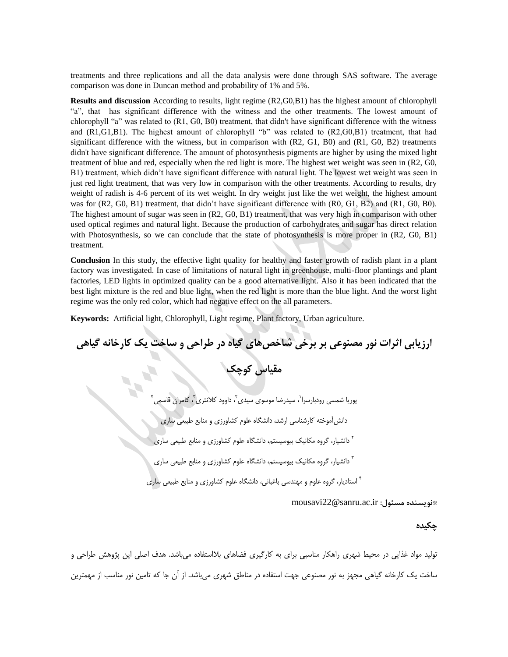treatments and three replications and all the data analysis were done through SAS software. The average comparison was done in Duncan method and probability of 1% and 5%.

**Results and discussion** According to results, light regime (R2,G0,B1) has the highest amount of chlorophyll "a", that has significant difference with the witness and the other treatments. The lowest amount of chlorophyll "a" was related to (R1, G0, B0) treatment, that didn't have significant difference with the witness and (R1,G1,B1). The highest amount of chlorophyll "b" was related to (R2,G0,B1) treatment, that had significant difference with the witness, but in comparison with  $(R2, G1, B0)$  and  $(R1, G0, B2)$  treatments didn't have significant difference. The amount of photosynthesis pigments are higher by using the mixed light treatment of blue and red, especially when the red light is more. The highest wet weight was seen in (R2, G0, B1) treatment, which didn't have significant difference with natural light. The lowest wet weight was seen in just red light treatment, that was very low in comparison with the other treatments. According to results, dry weight of radish is 4-6 percent of its wet weight. In dry weight just like the wet weight, the highest amount was for (R2, G0, B1) treatment, that didn't have significant difference with (R0, G1, B2) and (R1, G0, B0). The highest amount of sugar was seen in (R2, G0, B1) treatment, that was very high in comparison with other used optical regimes and natural light. Because the production of carbohydrates and sugar has direct relation with Photosynthesis, so we can conclude that the state of photosynthesis is more proper in (R2, G0, B1) treatment.

**Conclusion** In this study, the effective light quality for healthy and faster growth of radish plant in a plant factory was investigated. In case of limitations of natural light in greenhouse, multi-floor plantings and plant factories, LED lights in optimized quality can be a good alternative light. Also it has been indicated that the best light mixture is the red and blue light, when the red light is more than the blue light. And the worst light regime was the only red color, which had negative effect on the all parameters.

**Keywords:** Artificial light, Chlorophyll, Light regime, Plant factory, Urban agriculture.

**ارزیابی اثرات نور مصنوعی بر برخی شاخصهای گیاه در طراحی و ساخت یک کارخانه گیاهی**

**مقیاس کوچک**

3 ، داوود کالنتری <sup>2</sup> ، سیدرضا موسوی سیدی <sup>1</sup> پوریا شمسی رودبارسرا 4 ، کامران قاسمی دانشآموخته کارشناسی ارشد، دانشگاه علوم کشاورزی و منابع طبیعی ساری دانشیار، گروه مکانیک بیوسیستم، دانشگاه علوم کشاورزی و منابع طبیعی ساری <sup>2</sup> دانشیار، گروه مکانیک بیوسیستم، دانشگاه علوم کشاورزی و منابع طبیعی ساری <sup>3</sup> استادیار، گروه علوم و مهندسی باغبانی، دانشگاه علوم کشاورزی و منابع طبیعی ساری <sup>4</sup>

mousavi22@sanru.ac.ir **:مسئول نویسنده\***

### **چکیده**

تولید مواد غذایی در محیط شهری راهکار مناسبی برای به کارگیری فضاهای بالاستفاده میباشد. هدف اصلی این پژوهش طراحی و ساخت یک کارخانه گیاهی مجهز به نور مصنوعی جهت استفاده در مناطق شهری میباشد. از آن جا که تامین نور مناسب از مهمترین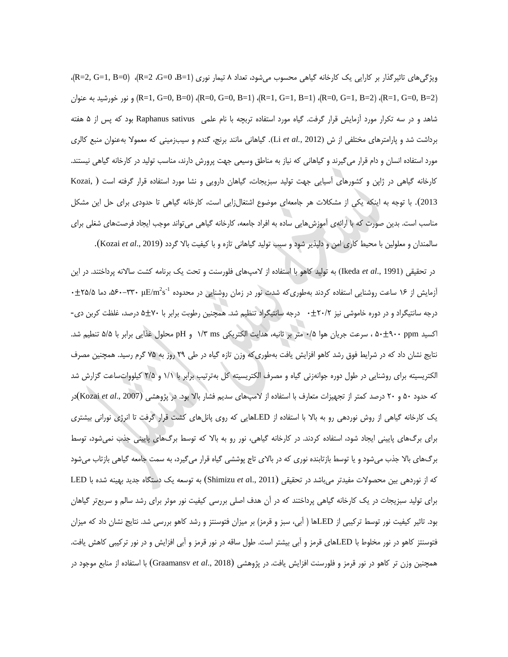ویژگیهای تاثیرگذار بر کارایی یک کارخانه گیاهی محسوب میشود، تعداد 8 تیمار نوری )1=B، 0=G، 2=R)،( 0=B 1,=G 2,=R)، و نور خورشید به عنوان (R=1, G=0, B=0) ، (R=0, G=0, B=1) ، (R=1, G=1, B=1) ، (R=0, G=1, B=2) و نور خورشید به عنوان ( شاهد و در سه تکرار مورد آزمایش قرار گرفت. گیاه مورد استفاده تربچه با نام علمی sativus Raphanus بود که پس از 5 هفته برداشت شد و پارامترهای مختلفی از ش )2012 *.,al et* Li). گیاهانی مانند برنج، گندم و سیبزمینی که معموال بهعنوان منبع کالری مورد استفاده انسان و دام قرار میگیرند و گیاهانی که نیاز به مناطق وسیعی جهت پرورش دارند، مناسب تولید در کارخانه گیاهی نیستند. کارخانه گیاهی در ژاپن و کشورهای آسیایی جهت تولید سبزیجات، گیاهان دارویی و نشا مورد استفاده قرار گرفته است ) ,Kozai <sup>2013</sup>(. با توجه به اینکه یکی از مشکالت هر جامعهای موضوع اشتغالزایی است، کارخانه گیاهی تا حدودی برای حل این مشکل مناسب است. بدین صورت که با ارائهی آموزشهایی ساده به افراد جامعه، کارخانه گیاهی میتواند موجب ایجاد فرصتهای شغلی برای سالمندان و معلولین با محیط کاری امن و دلپذیر شود و سبب تولید گیاهانی تازه و با کیفیت باال گردد )2019 .,*al et* Kozai).

در تحقیقی )1991 .,*al et* Ikeda )به تولید کاهو با استفاده از المپهای فلورسنت و تحت یک برنامه کشت ساالنه پرداختند. در این  $\cdot$ فریش از ۱۶ ساعت روشنایی استفاده کردند بهطوریکه شدت نور در زمان روشنایی در محدوده  $\cdot^2$ ۳۳۰–۵۶۰ دما ۲۵/۵ نفط ف درجه سانتیگراد و در دوره خاموشی نیز 23/2 3 درجه سانتیگراد تنظیم شد. همچنین رطوبت برابر با 03 5 درصد، غلظت کربن دی- اکسید ppm 033 53 ، سرعت جریان هوا 3/5 متر بر ثانیه، هدایت الکتریکی ms 1/3 و pH محلول غذایی برابر با 5/5 تنطیم شد. نتایج نشان داد که در شرایط فوق رشد کاهو افزایش یافت بهطوریکه وزن تازه گیاه در طی 20 روز به 05 گرم رسید. همچنین مصرف الکتریسیته برای روشنایی در طول دوره جوانهزنی گیاه و مصرف الکتریسیته کل بهترتیب برابر با 1/1 و 2/5 کیلوواتساعت گزارش شد که حدود 53 و 23 درصد کمتر از تجهیزات متعارف با استفاده از المپهای سدیم فشار باال بود. در پژوهشی )2007 .,*al et* Kozai)در یک کارخانه گیاهی از روش نوردهی رو به باال با استفاده از LEDهایی که روی پانلهای کشت قرار گرفت تا انرژی نورانی بیشتری برای برگهای پایینی ایجاد شود، استفاده کردند. در کارخانه گیاهی، نور رو به باال که توسط برگهای پایینی جذب نمیشود، توسط برگهای باال جذب میشود و یا توسط بازتابنده نوری که در باالی تاج پوششی گیاه قرار میگیرد، به سمت جامعه گیاهی بازتاب میشود که از نوردهی بین محصوالت مفیدتر میباشد در تحقیقی )2011 .,*a*l *et* Shimizu )به توسعه یک دستگاه جدید بهینه شده با LED برای تولید سبزیجات در یک کارخانه گیاهی پرداختند که در آن هدف اصلی بررسی کیفیت نور موثر برای رشد سالم و سریعتر گیاهان بود. تاثیر کیفیت نور توسط ترکیبی از LEDها ) آبی، سبز و قرمز( بر میزان فتوسنتز و رشد کاهو بررسی شد. نتایج نشان داد که میزان فتوسنتز کاهو در نور مخلوط با LEDهای قرمز و آبی بیشتر است. طول ساقه در نور قرمز و آبی افزایش و در نور ترکیبی کاهش یافت. همچنین وزن تر کاهو در نور قرمز و فلورسنت افزایش یافت. در پژوهشی )2018 .,*al et* Graamansv )با استفاده از منابع موجود در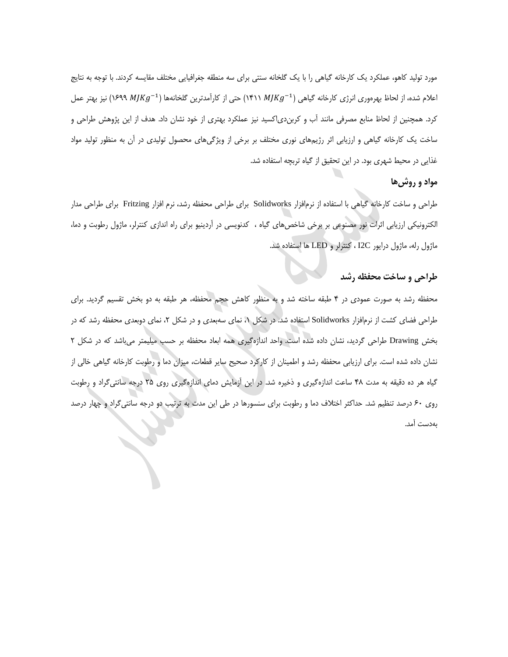مورد تولید کاهو، عملکرد یک کارخانه گیاهی را با یک گلخانه سنتی برای سه منطقه جغرافیایی مختلف مقایسه کردند. با توجه به نتایج اعلام شده، از لحاظ بهرهوری انرژی کارخانه گیاهی (۱۴۱۱ MJKg<sup>–1)</sup> حتی از کارآمدترین گلخانهها (۱۶۹۹ MJKg<sup>–1)</sup> نیز بهتر عمل کرد. همچنین از لحاظ منابع مصرفی مانند آب و کربندیاکسید نیز عملکرد بهتری از خود نشان داد. هدف از این پژوهش طراحی و ساخت یک کارخانه گیاهی و ارزیابی اثر رژیمهای نوری مختلف بر برخی از ویژگیهای محصول تولیدی در آن به منظور تولید مواد غذایی در محیط شهری بود. در این تحقیق از گیاه تربچه استفاده شد.

## **مواد و روشها**

طراحی و ساخت کارخانه گیاهی با استفاده از نرمافزار Solidworks برای طراحی محفظه رشد، نرم افزار Fritzing برای طراحی مدار الکترونیکی ارزیابی اثرات نور مصنوعی بر برخی شاخصهای گیاه ، کدنویسی در آردینیو برای راه اندازی کنترلر، ماژول رطوبت و دما، ماژول رله، ماژول درایور C2I ، کنترلر و LED ها استفاده شد.

### **طراحی و ساخت محفظه رشد**

محفظه رشد به صورت عمودی در 4 طبقه ساخته شد و به منظور کاهش حجم محفظه، هر طبقه به دو بخش تقسیم گردید. برای طراحی فضای کشت از نرمافزار Solidworks استفاده شد. در شکل ،1 نمای سهبعدی و در شکل ،2 نمای دوبعدی محفظه رشد که در بخش Drawing طراحی گردید، نشان داده شده است. واحد اندازهگیری همه ابعاد محفظه بر حسب میلیمتر میباشد که در شکل 2 نشان داده شده است. برای ارزیابی محفظه رشد و اطمینان از کارکرد صحیح سایر قطعات، میزان دما و رطوبت کارخانه گیاهی خالی از گیاه هر ده دقیقه به مدت 48 ساعت اندازهگیری و ذخیره شد. در این آزمایش دمای اندازهگیری روی 25 درجه سانتیگراد و رطوبت روی 13 درصد تنظیم شد. حداکثر اختالف دما و رطوبت برای سنسورها در طی این مدت به ترتیب دو درجه سانتیگراد و چهار درصد بهدست آمد.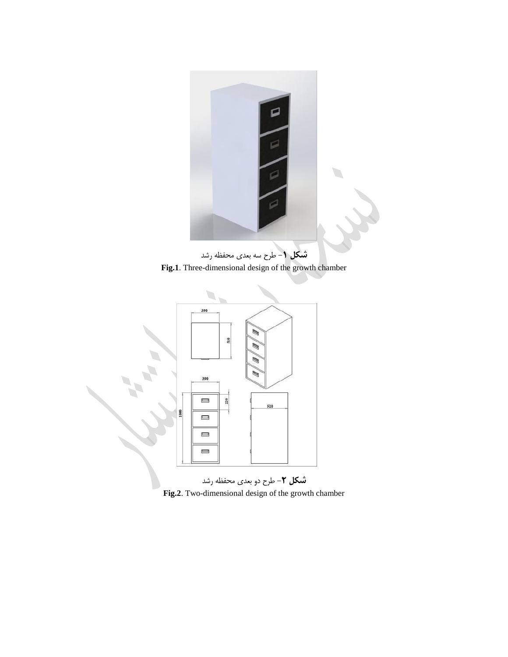

**شکل** -**1** طرح سه بعدی محفظه رشد **Fig.1**. Three-dimensional design of the growth chamber



**Fig.2**. Two-dimensional design of the growth chamber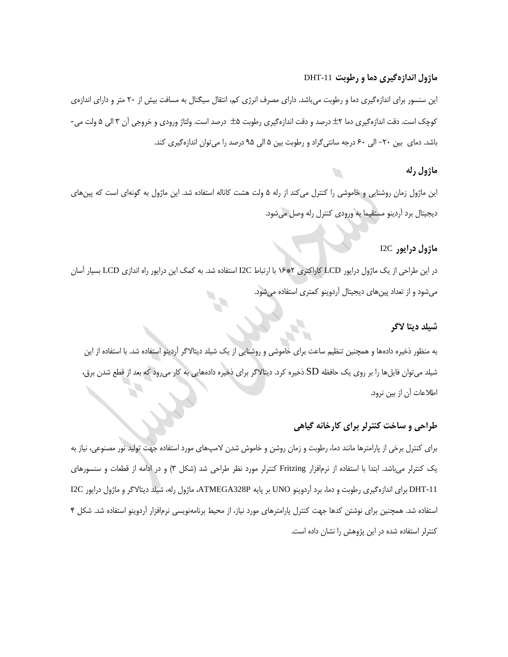## **ماژول اندازهگیری دما و رطوبت** -11DHT

این سنسور برای اندازهگیری دما و رطوبت میباشد. دارای مصرف انرژی کم، انتقال سیگنال به مسافت بیش از 23 متر و دارای اندازهی کوچک است. دقت اندازهگیری دما <del>1</del>۲ درصد و دقت اندازهگیری رطوبت ۵± درصد است. ولتاژ ورودی و خروجی آن ۳ الی ۵ ولت می-باشد. دمای بین -23 الی 13 درجه سانتیگراد و رطوبت بین 5 الی 05 درصد را میتوان اندازهگیری کند.

## **ماژول رله**

این ماژول زمان روشنایی و خاموشی را کنترل میکند از رله 5 ولت هشت کاناله استفاده شد. این ماژول به گونهای است که پینهای دیجیتال برد آردینو مستقیما به ورودی کنترل رله وصل میشود.

# **ماژول درایور** C2I

در این طراحی از یک ماژول درایور LCD کاراکتری 2\*11 با ارتباط C2I استفاده شد. به کمک این درایور راه اندازی LCD بسیار آسان میشود و از تعداد پینهای دیجیتال آردوینو کمتری استفاده میشود.

## **شیلد دیتا الگر**

به منظور ذخیره دادهها و همچنین تنظیم ساعت برای خاموشی و روشنایی از یک شیلد دیتاالگر آردینو استفاده شد. با استفاده از این شیلد میتوان فایلها را بر روی یک حافظه SD ذخیره کرد. دیتاالگر برای ذخیره دادههایی به کار میرود که بعد از قطع شدن برق، اطالعات آن از بین نرود.

## **طراحی و ساخت کنترلر برای کارخانه گیاهی**

برای کنترل برخی از پارامترها مانند دما، رطوبت و زمان روشن و خاموش شدن المپهای مورد استفاده جهت تولید نور مصنوعی، نیاز به یک کنترلر میباشد. ابتدا با استفاده از نرمافزار Fritzing کنترلر مورد نظر طراحی شد )شکل 3( و در ادامه از قطعات و سنسورهای -11DHT برای اندازهگیری رطوبت و دما، برد آردوینو UNO بر پایه P328ATMEGA، ماژول رله، شیلد دیتاالگر و ماژول درایور C2I استفاده شد. همچنین برای نوشتن کدها جهت کنترل پارامترهای مورد نیاز، از محیط برنامهنویسی نرمافزار آردوینو استفاده شد. شکل 4 کنترلر استفاده شده در این پژوهش را نشان داده است.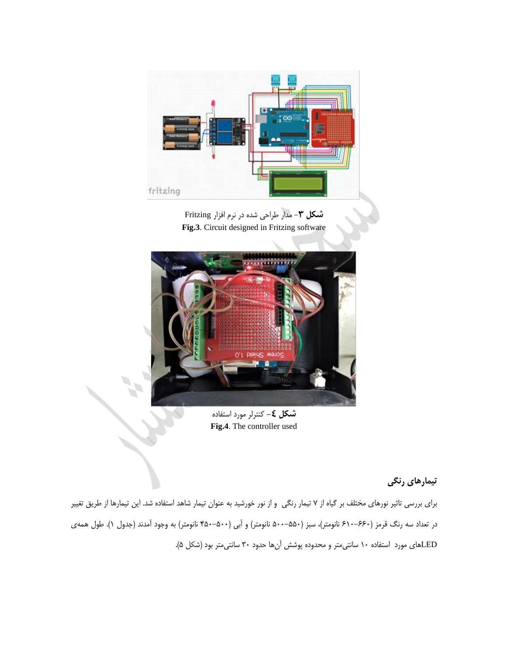

**شکل** -**3** مدار طراحی شده در نرم افزار Fritzing **Fig.3**. Circuit designed in Fritzing software



**شکل ک**– کنترلر مورد استفاده **Fig.4**. The controller used

**تیمارهای رنگی**

برای بررسی تاثیر نورهای مختلف بر گیاه از 0 تیمار رنگی و از نور خورشید به عنوان تیمار شاهد استفاده شد. این تیمارها از طریق تغییر در تعداد سه رنگ قرمز (۶۶۰–۶۱۰ نانومتر)، سبز (۵۵۰–۵۰۰ نانومتر) و آبی (۵۰۰–۴۵۰ نانومتر) به وجود آمدند (جدول ۱). طول همهی LEDهای مورد استفاده 13 سانتیمتر و محدوده پوشش آنها حدود 33 سانتیمتر بود )شکل 5(.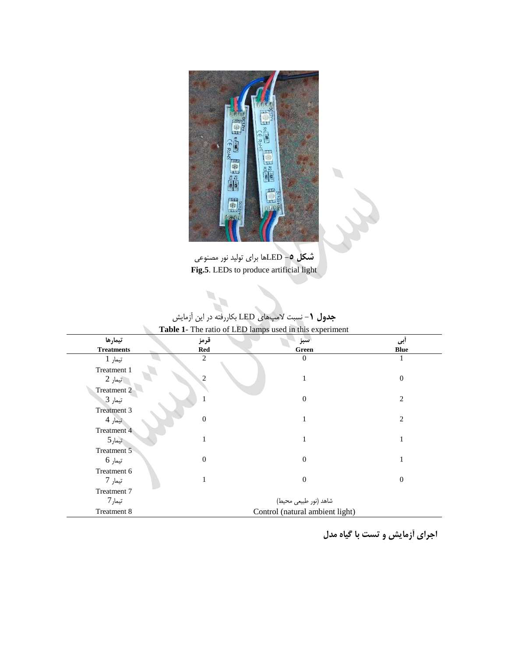

**شکل** -**5** LEDها برای تولید نور مصنوعی **Fig.5**. LEDs to produce artificial light

| Table 1- The ratio of LED lamps used in this experiment |                       |                                 |                  |  |
|---------------------------------------------------------|-----------------------|---------------------------------|------------------|--|
| تيمارها                                                 | قرمز                  | سبز                             | أبى              |  |
| <b>Treatments</b>                                       | <b>Red</b>            | Green                           | <b>Blue</b>      |  |
| تيمار 1                                                 | 2                     | $\theta$                        |                  |  |
| Treatment 1                                             |                       |                                 |                  |  |
| تيمار 2                                                 | 2                     | 1                               | $\overline{0}$   |  |
| Treatment 2                                             |                       |                                 |                  |  |
| تيمار 3                                                 |                       | $\overline{0}$                  | 2                |  |
| Treatment 3                                             |                       |                                 |                  |  |
| تيمار 4                                                 | $\mathbf{0}$          | 1                               | $\overline{c}$   |  |
| Treatment 4                                             |                       |                                 |                  |  |
| تيمار5                                                  |                       | 1                               |                  |  |
| Treatment 5                                             |                       |                                 |                  |  |
| تيمار 6                                                 | $\theta$              | $\mathbf{0}$                    | $\mathbf{1}$     |  |
| Treatment 6                                             |                       |                                 |                  |  |
| تيمار 7                                                 |                       | $\boldsymbol{0}$                | $\boldsymbol{0}$ |  |
| Treatment 7                                             |                       |                                 |                  |  |
| تيمار7                                                  | شاهد (نور طبیعی محیط) |                                 |                  |  |
| Treatment 8                                             |                       | Control (natural ambient light) |                  |  |

**جدول** -**1** نسبت المپهای LED بکاررفته در این آزمایش

**اجرای آزمایش و تست با گیاه مدل**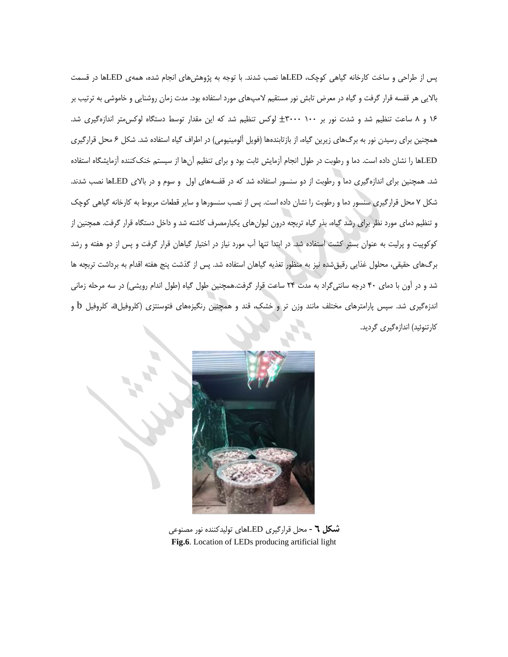پس از طراحی و ساخت کارخانه گیاهی کوچک، LEDها نصب شدند. با توجه به پژوهشهای انجام شده، همهی LEDها در قسمت باالیی هر قفسه قرار گرفت و گیاه در معرض تابش نور مستقیم المپهای مورد استفاده بود. مدت زمان روشنایی و خاموشی به ترتیب بر 11 و 8 ساعت تنظیم شد و شدت نور بر 133 3333 لوکس تنظیم شد که این مقدار توسط دستگاه لوکسمتر اندازهگیری شد. همچنین برای رسیدن نور به برگهای زیرین گیاه، از بازتابندهها (فویل آلومینیومی) در اطراف گیاه استفاده شد. شکل ۶ محل قرارگیری LEDها را نشان داده است. دما و رطوبت در طول انجام آزمایش ثابت بود و برای تنظیم آنها از سیستم خنککننده آزمایشگاه استفاده شد. همچنین برای اندازهگیری دما و رطوبت از دو سنسور استفاده شد که در قفسههای اول و سوم و در باالی LEDها نصب شدند. شکل 0 محل قرارگیری سنسور دما و رطوبت را نشان داده است. پس از نصب سنسورها و سایر قطعات مربوط به کارخانه گیاهی کوچک و تنظیم دمای مورد نظر برای رشد گیاه، بذر گیاه تربچه درون لیوانهای یکبارمصرف کاشته شد و داخل دستگاه قرار گرفت. همچنین از کوکوپیت و پرلیت به عنوان بستر کشت استفاده شد. در ابتدا تنها آب مورد نیاز در اختیار گیاهان قرار گرفت و پس از دو هفته و رشد برگهای حقیقی، محلول غذایی رقیقشده نیز به منظور تغذیه گیاهان استفاده شد. پس از گذشت پنج هفته اقدام به برداشت تربچه ها شد و در آون با دمای 43 درجه سانتیگراد به مدت 24 ساعت قرار گرفت.همچنین طول گیاه )طول اندام رویشی( در سه مرحله زمانی اندزهگیری شد. سپس پارامترهای مختلف مانند وزن تر و خشک، قند و همچنین رنگیزههای فتوسنتزی )کلروفیلa، کلروفیل b و کارتنوئید) اندازهگیری گردید.



**شکل 6** - محل قرارگیری LEDهای تولیدکننده نور مصنوعی **Fig.6**. Location of LEDs producing artificial light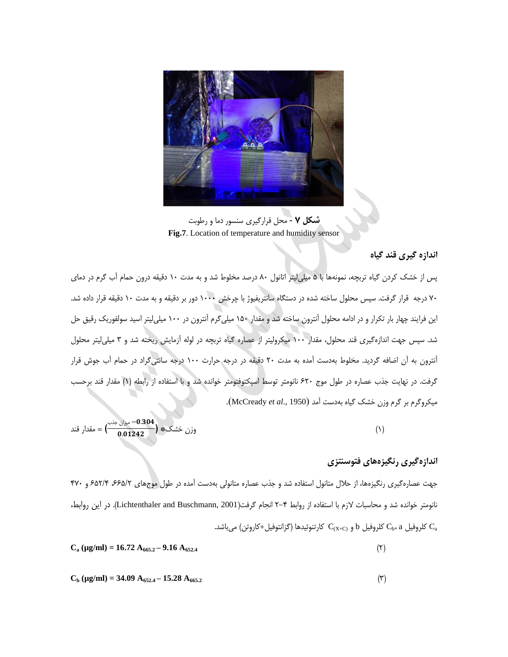

**شکل 7** - محل قرارگیری سنسور دما و رطوبت **Fig.7**. Location of temperature and humidity sensor

## **اندازه گیری قند گیاه**

پس از خشک کردن گیاه تربچه، نمونهها با 5 میلیلیتر اتانول 83 درصد مخلوط شد و به مدت 13 دقیقه درون حمام آب گرم در دمای 03 درجه قرار گرفت. سپس محلول ساخته شده در دستگاه سانتریفیوژ با چرخش 1333 دور بر دقیقه و به مدت 13 دقیقه قرار داده شد. این فرایند چهار بار تکرار و در ادامه محلول آنترون ساخته شد و مقدار 153 میلیگرم آنترون در 133 میلیلیتر اسید سولفوریک رقیق حل شد. سپس جهت اندازهگیری قند محلول، مقدار 133 میکرولیتر از عصاره گیاه تربچه در لوله آزمایش ریخته شد و 3 میلیلیتر محلول آنترون به آن اضافه گردید. مخلوط بهدست آمده به مدت 23 دقیقه در درجه حرارت 133 درجه سانتیگراد در حمام آب جوش قرار گرفت. در نهایت جذب عصاره در طول موج 123 نانومتر توسط اسپکتوفتومتر خوانده شد و با استفاده از رابطه )1( مقدار قند برحسب میکروگرم بر گرم وزن خشک گیاه بهدست آمد )1950 .,*al et* McCready).

ونن خشک\* 
$$
\left(\begin{array}{c} -0.304 \\ 0.01242 \end{array}\right)
$$
 ہون خشک)

## **اندازهگیری رنگیزههای فتوسنتزی**

جهت عصارهگیری رنگیزهها، از حلال متانول استفاده شد و جذب عصاره متانولی بهدست آمده در طول موجهای ۶۶۵/۲ 7۶۵/۶ و ۴۷۰ نانومتر خوانده شد و محاسبات الزم با استفاده از روابط 2-4 انجام گرفت)2001 ,Buschmann and Lichtenthaler). در این روابط، کلروفیل C $_{\rm b}$ ، کلروفیل b کلروفیل کا و  $\rm C_{\rm (X+C)}$  کارتنوئیل $\rm C_{\rm a}$ 

 $C_a$  ( $\mu$ g/ml) = 16.72 A<sub>665.2</sub> – 9.16 A<sub>652.4</sub>  $(\mathbf{r})$ 

$$
C_b ( \mu g/ml ) = 34.09 A_{652.4} - 15.28 A_{665.2}
$$
 (7)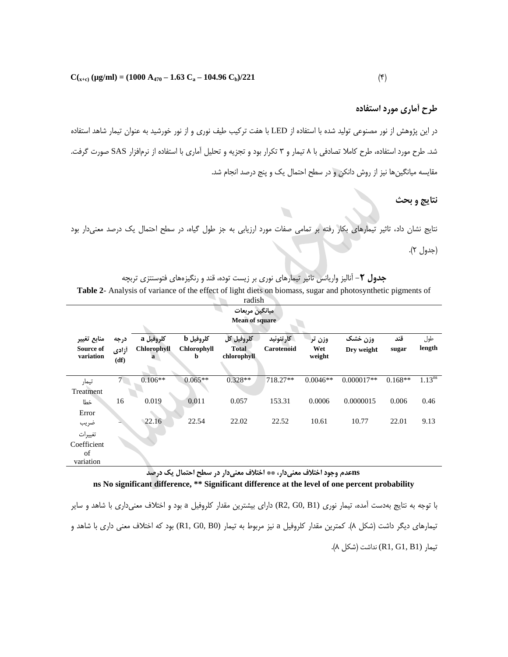### **طرح آماری مورد استفاده**

در این پژوهش از نور مصنوعی تولید شده با استفاده از LED با هفت ترکیب طیف نوری و از نور خورشید به عنوان تیمار شاهد استفاده شد. طرح مورد استفاده، طرح کامال تصادفی با 8 تیمار و 3 تکرار بود و تجزیه و تحلیل آماری با استفاده از نرمافزار SAS صورت گرفت. مقایسه میانگینها نیز از روش دانکن و در سطح احتمال یک و پنج درصد انجام شد.

### **نتایج و بحث**

نتایج نشان داد، تاثیر تیمارهای بکار رفته بر تمامی صفات مورد ارزیابی به جز طول گیاه، در سطح احتمال یک درصد معنیدار بود (جدول ۲).

**جدول** -**2** آنالیز واریانس تاثیر تیمارهای نوری بر زیست توده، قند و رنگیزههای فتوسنتزی تربچه **Table 2**- Analysis of variance of the effect of light diets on biomass, sugar and photosynthetic pigments of

| طول<br>length      |
|--------------------|
| 1.13 <sup>ns</sup> |
| 0.46               |
|                    |
| 9.13               |
|                    |
|                    |
|                    |
|                    |

#### **nsعدم وجود اختالف معنیدار، \*\* اختالف معنیدار در سطح احتمال یک درصد ns No significant difference, \*\* Significant difference at the level of one percent probability**

با توجه به نتایج بهدست آمده، تیمار نوری (1B 0,G 2,R (دارای بیشترین مقدار کلروفیل a بود و اختالف معنیداری با شاهد و سایر تیمارهای دیگر داشت )شکل 8(. کمترین مقدار کلروفیل a نیز مربوط به تیمار (0B 0,G 1,R (بود که اختالف معنی داری با شاهد و تیمار (1B 1,G 1,R (نداشت )شکل 8(.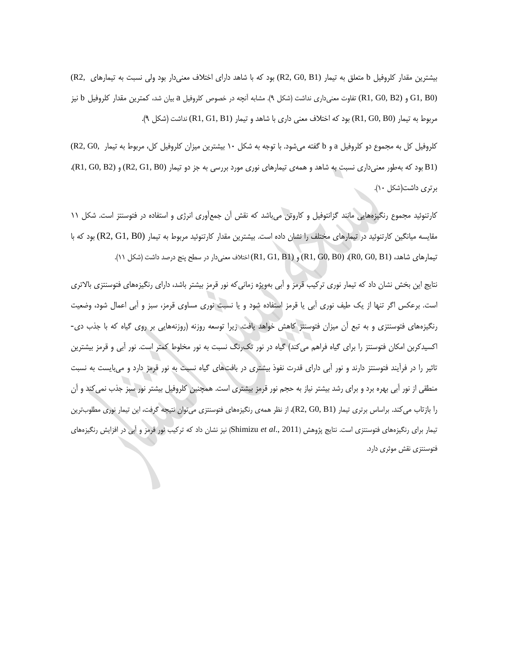بیشترین مقدار کلروفیل b متعلق به تیمار (1B 0,G 2,R (بود که با شاهد دارای اختالف معنیدار بود ولی نسبت به تیمارهای 2,R( (0B 1,G و (2B 0,G 1,R (تفاوت معنیداری نداشت )شکل 0(. مشابه آنچه در خصوص کلروفیل a بیان شد، کمترین مقدار کلروفیل b نیز مربوط به تیمار (0B 0,G 1,R (بود که اختالف معنی داری با شاهد و تیمار (1B 1,G 1,R (نداشت )شکل 0(.

کلروفیل کل به مجموع دو کلروفیل a و b گفته میشود. با توجه به شکل 13 بیشترین میزان کلروفیل کل، مربوط به تیمار 0,G 2,R( (1B بود که بهطور معنیداری نسبت به شاهد و همهی تیمارهای نوری مورد بررسی به جز دو تیمار (0B 1,G 2,R (و (2B 0,G 1,R(، برتری داشت)شکل 13(.

کارتنوئید مجموع رنگیزههایی مانند گزانتوفیل و کاروتن میباشد که نقش آن جمعآوری انرژی و استفاده در فتوسنتز است. شکل 11 مقایسه میانگین کارتنوئید در تیمارهای مختلف را نشان داده است. بیشترین مقدار کارتنوئید مربوط به تیمار (0B 1,G 2,R (بود که با تیمارهای شاهد، (1B 0,G 0,R(،) 0B 0,G 1,R (و (1B 1,G 1,R (اختالف معنیدار در سطح پنج درصد داشت )شکل 11(.

نتایج این بخش نشان داد که تیمار نوری ترکیب قرمز و آبی بهویژه زمانیکه نور قرمز بیشتر باشد، دارای رنگیزههای فتوسنتزی باالتری است. برعکس اگر تنها از یک طیف نوری آبی یا قرمز استفاده شود و یا نسبت نوری مساوی قرمز، سبز و آبی اعمال شود، وضعیت رنگیزههای فتوسنتزی و به تبع آن میزان فتوسنتز کاهش خواهد یافت. زیرا توسعه روزنه )روزنههایی بر روی گیاه که با جذب دی- اکسیدکربن امکان فتوسنتز را برای گیاه فراهم میکند( گیاه در نور تکرنگ نسبت به نور مخلوط کمتر است. نور آبی و قرمز بیشترین تاثیر را در فرآیند فتوسنتز دارند و نور آبی دارای قدرت نفوذ بیشتری در بافتهای گیاه نسبت به نور قرمز دارد و میبایست به نسبت منطقی از نور آبی بهره برد و برای رشد بیشتر نیاز به حجم نور قرمز بیشتری است. همچنین کلروفیل بیشتر نور سبز جذب نمیکند و آن را بازتاب میکند. براساس برتری تیمار (1B 0,G 2,R(، از نظر همهی رنگیزههای فتوسنتزی میتوان نتیجه گرفت، این تیمار نوری مطلوبترین تیمار برای رنگیزههای فتوسنتزی است. نتایج پژوهش )2011 .,*al et* Shimizu )نیز نشان داد که ترکیب نور قرمز و آبی در افزایش رنگیزههای فتوسنتزی نقش موثری دارد.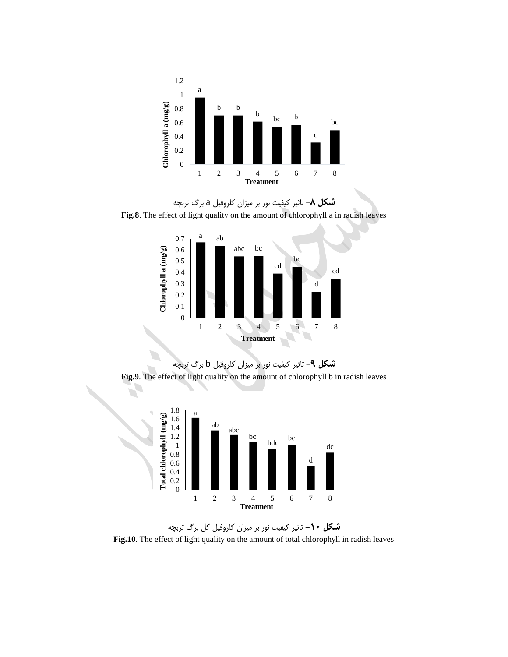







A,



**شکل -11** تاثیر کیفیت نور بر میزان کلروفیل کل برگ تربچه **Fig.10**. The effect of light quality on the amount of total chlorophyll in radish leaves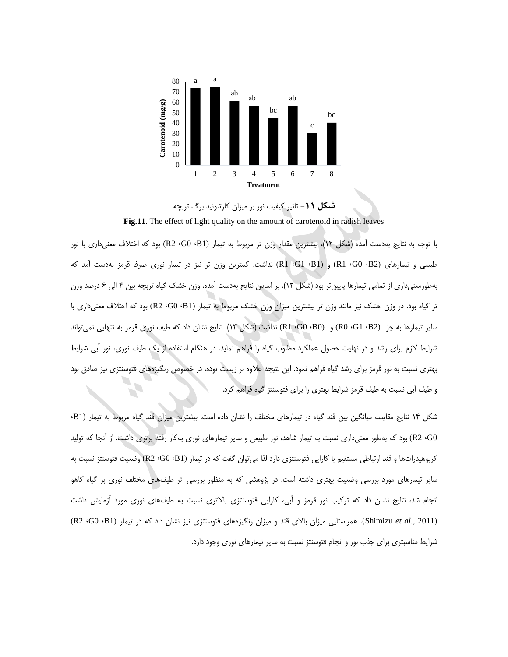

**شکل** -**11** تاثیر کیفیت نور بر میزان کارتنوئید برگ تربچه **Fig.11**. The effect of light quality on the amount of carotenoid in radish leaves

با توجه به نتایج بهدست آمده )شکل 12(، بیشترین مقدار وزن تر مربوط به تیمار )1B، 0G، 2R )بود که اختالف معنیداری با نور طبیعی و تیمارهای )2B، 0G، 1R )و )1B، 1G، 1R )نداشت. کمترین وزن تر نیز در تیمار نوری صرفا قرمز بهدست آمد که بهطورمعنیداری از تمامی تیمارها پایینتر بود )شکل 12(. بر اساس نتایج بهدست آمده، وزن خشک گیاه تربچه بین 4 الی 1 درصد وزن تر گیاه بود. در وزن خشک نیز مانند وزن تر بیشترین میزان وزن خشک مربوط به تیمار )1B، 0G، 2R )بود که اختالف معنیداری با سایر تیمارها به جز )2B، 1G، 0R )و )0B، 0G، 1R )نداشت )شکل 13(. نتایج نشان داد که طیف نوری قرمز به تنهایی نمیتواند شرایط الزم برای رشد و در نهایت حصول عملکرد مطلوب گیاه را فراهم نماید. در هنگام استفاده از یک طیف نوری، نور آبی شرایط بهتری نسبت به نور قرمز برای رشد گیاه فراهم نمود. این نتیجه عالوه بر زیست توده، در خصوص رنگیزههای فتوسنتزی نیز صادق بود و طیف آبی نسبت به طیف قرمز شرایط بهتری را برای فتوسنتز گیاه فراهم کرد.

شکل 14 نتایج مقایسه میانگین بین قند گیاه در تیمارهای مختلف را نشان داده است. بیشترین میزان قند گیاه مربوط به تیمار )1B، 0G، 2R )بود که بهطور معنیداری نسبت به تیمار شاهد، نور طبیعی و سایر تیمارهای نوری بهکار رفته برتری داشت. از آنجا که تولید کربوهیدراتها و قند ارتباطی مستقیم با کارایی فتوسنتزی دارد لذا میتوان گفت که در تیمار )1B، 0G، 2R )وضعیت فتوسنتز نسبت به سایر تیمارهای مورد بررسی وضعیت بهتری داشته است. در پژوهشی که به منظور بررسی اثر طیفهای مختلف نوری بر گیاه کاهو انجام شد، نتایج نشان داد که ترکیب نور قرمز و آبی، کارایی فتوسنتزی باالتری نسبت به طیفهای نوری مورد آزمایش داشت )2011 .,*al et* Shimizu). همراستایی میزان باالی قند و میزان رنگیزههای فتوسنتزی نیز نشان داد که در تیمار )1B، 0G، 2R ) شرایط مناسبتری برای جذب نور و انجام فتوسنتز نسبت به سایر تیمارهای نوری وجود دارد.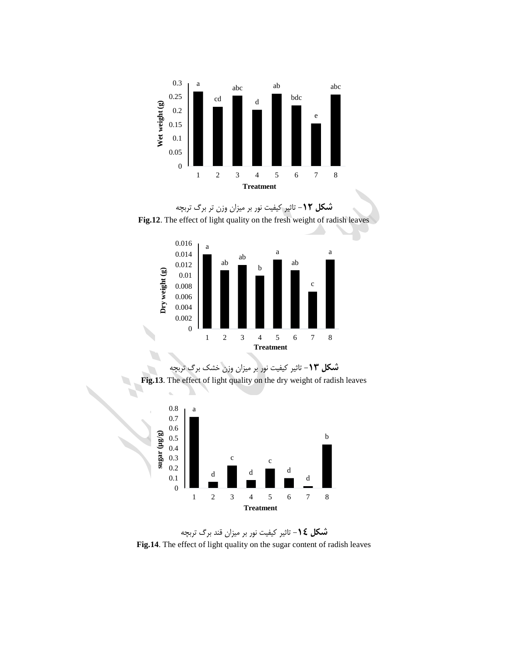









**شکل** -**14** تاثیر کیفیت نور بر میزان قند برگ تربچه **Fig.14**. The effect of light quality on the sugar content of radish leaves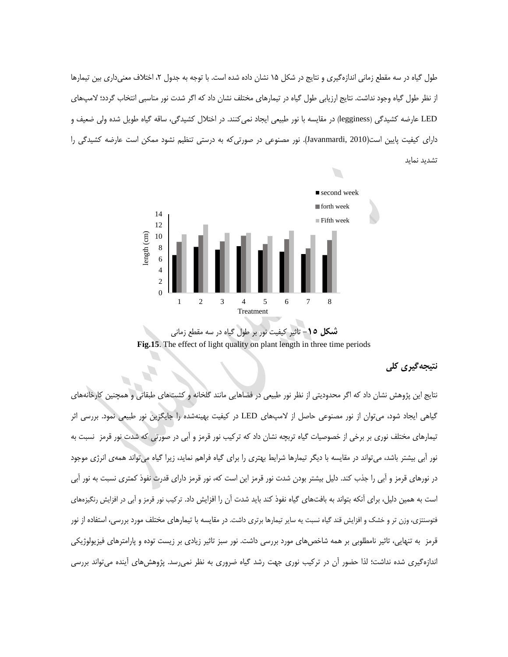طول گیاه در سه مقطع زمانی اندازهگیری و نتایج در شکل ۱۵ نشان داده شده است. با توجه به جدول ۲، اختلاف معنیداری بین تیمارها از نظر طول گیاه وجود نداشت. نتایج ارزیابی طول گیاه در تیمارهای مختلف نشان داد که اگر شدت نور مناسبی انتخاب گردد؛ المپهای LED عارضه کشیدگی )legginess )در مقایسه با نور طبیعی ایجاد نمیکنند. در اختالل کشیدگی، ساقه گیاه طویل شده ولی ضعیف و دارای کیفیت پایین است)2010 ,Javanmardi). نور مصنوعی در صورتیکه به درستی تنظیم نشود ممکن است عارضه کشیدگی را تشدید نماید



**شکل** -**15** تاثیر کیفیت نور بر طول گیاه در سه مقطع زمانی **Fig.15**. The effect of light quality on plant length in three time periods

## **نتیجهگیری کلی**

نتایج این پژوهش نشان داد که اگر محدودیتی از نظر نور طبیعی در فضاهایی مانند گلخانه و کشتهای طبقاتی و همچنین کارخانههای گیاهی ایجاد شود، میتوان از نور مصنوعی حاصل از المپهای LED در کیفیت بهینهشده را جایگزین نور طبیعی نمود. بررسی اثر تیمارهای مختلف نوری بر برخی از خصوصیات گیاه تربچه نشان داد که ترکیب نور قرمز و آبی در صورتی که شدت نور قرمز نسبت به نور آبی بیشتر باشد، میتواند در مقایسه با دیگر تیمارها شرایط بهتری را برای گیاه فراهم نماید، زیرا گیاه میتواند همهی انرژی موجود در نورهای قرمز و آبی را جذب کند. دلیل بیشتر بودن شدت نور قرمز این است که، نور قرمز دارای قدرت نفوذ کمتری نسبت به نور آبی است به همین دلیل، برای آنکه بتواند به بافتهای گیاه نفوذ کند باید شدت آن را افزایش داد. ترکیب نور قرمز و آبی در افزایش رنگیزههای فتوسنتزی، وزن تر و خشک و افزایش قند گیاه نسبت یه سایر تیمارها برتری داشت. در مقایسه با تیمارهای مختلف مورد بررسی، استفاده از نور قرمز به تنهایی، تاثیر نامطلوبی بر همه شاخصهای مورد بررسی داشت. نور سبز تاثیر زیادی بر زیست توده و پارامترهای فیزیولوژیکی اندازهگیری شده نداشت؛ لذا حضور آن در ترکیب نوری جهت رشد گیاه ضروری به نظر نمیرسد. پژوهشهای آینده میتواند بررسی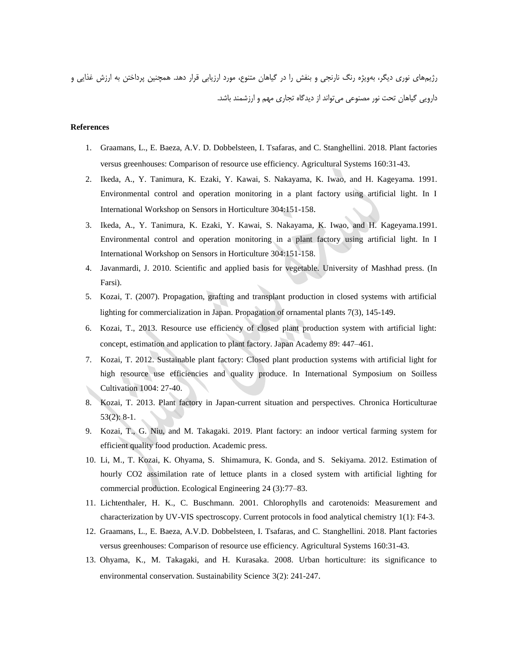رژیمهای نوری دیگر، بهویژه رنگ نارنجی و بنفش را در گیاهان متنوع، مورد ارزیابی قرار دهد. همچنین پرداختن به ارزش غذایی و دارویی گیاهان تحت نور مصنوعی میتواند از دیدگاه تجاری مهم و ارزشمند باشد.

#### **References**

- 1. Graamans, L., E. Baeza, A.V. D. Dobbelsteen, I. Tsafaras, and C. Stanghellini. 2018. Plant factories versus greenhouses: Comparison of resource use efficiency. Agricultural Systems 160:31-43.
- 2. Ikeda, A., Y. Tanimura, K. Ezaki, Y. Kawai, S. Nakayama, K. Iwao, and H. Kageyama. 1991. Environmental control and operation monitoring in a plant factory using artificial light. In I International Workshop on Sensors in Horticulture 304:151-158.
- 3. Ikeda, A., Y. Tanimura, K. Ezaki, Y. Kawai, S. Nakayama, K. Iwao, and H. Kageyama.1991. Environmental control and operation monitoring in a plant factory using artificial light. In I International Workshop on Sensors in Horticulture 304:151-158.
- 4. Javanmardi, J. 2010. Scientific and applied basis for vegetable. University of Mashhad press. (In Farsi).
- 5. Kozai, T. (2007). Propagation, grafting and transplant production in closed systems with artificial lighting for commercialization in Japan. Propagation of ornamental plants 7(3), 145-149.
- 6. Kozai, T., 2013. Resource use efficiency of closed plant production system with artificial light: concept, estimation and application to plant factory. Japan Academy 89: 447–461.
- 7. Kozai, T. 2012. Sustainable plant factory: Closed plant production systems with artificial light for high resource use efficiencies and quality produce. In International Symposium on Soilless Cultivation 1004: 27-40.
- 8. Kozai, T. 2013. Plant factory in Japan-current situation and perspectives. Chronica Horticulturae 53(2): 8-1.
- 9. Kozai, T., G. Niu, and M. Takagaki. 2019. Plant factory: an indoor vertical farming system for efficient quality food production. Academic press.
- 10. Li, M., T. Kozai, K. Ohyama, S. Shimamura, K. Gonda, and S. Sekiyama. 2012. Estimation of hourly CO2 assimilation rate of lettuce plants in a closed system with artificial lighting for commercial production. Ecological Engineering 24 (3):77–83.
- 11. Lichtenthaler, H. K., C. Buschmann. 2001. Chlorophylls and carotenoids: Measurement and characterization by UV-VIS spectroscopy. Current protocols in food analytical chemistry 1(1): F4-3.
- 12. Graamans, L., E. Baeza, A.V.D. Dobbelsteen, I. Tsafaras, and C. Stanghellini. 2018. Plant factories versus greenhouses: Comparison of resource use efficiency. Agricultural Systems 160:31-43.
- 13. Ohyama, K., M. Takagaki, and H. Kurasaka. 2008. Urban horticulture: its significance to environmental conservation. Sustainability Science 3(2): 241-247.